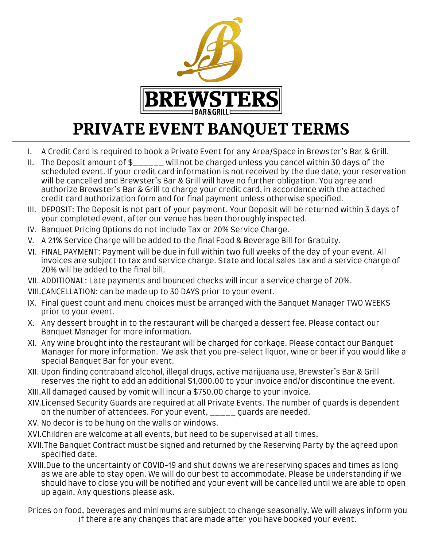

# PRIVATE EVENT BANQUET TERMS

- I. A Credit Card is required to book a Private Event for any Area/Space in Brewster's Bar & Grill.
- II. The Deposit amount of \$\_\_\_\_\_\_ will not be charged unless you cancel within 30 days of the scheduled event. If your credit card information is not received by the due date, your reservation will be cancelled and Brewster's Bar & Grill will have no further obligation. You agree and authorize Brewster's Bar & Grill to charge your credit card, in accordance with the attached credit card authorization form and for final payment unless otherwise specified.
- III. DEPOSIT: The Deposit is not part of your payment. Your Deposit will be returned within 3 days of your completed event, after our venue has been thoroughly inspected.
- IV. Banquet Pricing Options do not include Tax or 20% Service Charge.
- V. A 21% Service Charge will be added to the final Food & Beverage Bill for Gratuity.
- VI. FINAL PAYMENT: Payment will be due in full within two full weeks of the day of your event. All invoices are subject to tax and service charge. State and local sales tax and a service charge of 20% will be added to the final bill.
- VII. ADDITIONAL: Late payments and bounced checks will incur a service charge of 20%.

VIII.CANCELLATION: can be made up to 30 DAYS prior to your event.

- IX. Final guest count and menu choices must be arranged with the Banquet Manager TWO WEEKS prior to your event.
- X. Any dessert brought in to the restaurant will be charged a dessert fee. Please contact our Banquet Manager for more information.
- XI. Any wine brought into the restaurant will be charged for corkage. Please contact our Banquet Manager for more information. We ask that you pre-select liquor, wine or beer if you would like a special Banquet Bar for your event.
- XII. Upon finding contraband alcohol, illegal drugs, active marijuana use, Brewster's Bar & Grill reserves the right to add an additional \$1,000.00 to your invoice and/or discontinue the event.
- XIII.All damaged caused by vomit will incur a \$750.00 charge to your invoice.
- XIV.Licensed Security Guards are required at all Private Events. The number of guards is dependent on the number of attendees. For your event, \_\_\_\_\_ guards are needed.
- XV. No decor is to be hung on the walls or windows.
- XVI.Children are welcome at all events, but need to be supervised at all times.
- XVII.The Banquet Contract must be signed and returned by the Reserving Party by the agreed upon specified date.
- XVIII.Due to the uncertainty of COVID-19 and shut downs we are reserving spaces and times as long as we are able to stay open. We will do our best to accommodate. Please be understanding if we should have to close you will be notified and your event will be cancelled until we are able to open up again. Any questions please ask.
- Prices on food, beverages and minimums are subject to change seasonally. We will always inform you if there are any changes that are made after you have booked your event.